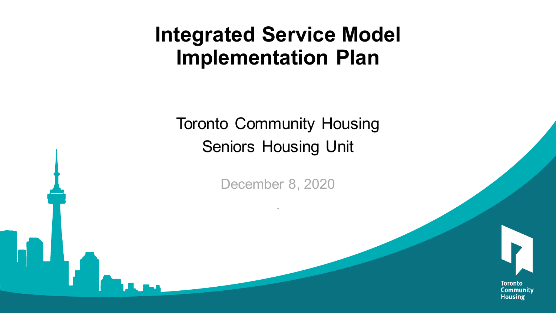### **Integrated Service Model Implementation Plan**

Toronto Community Housing Seniors Housing Unit

December 8, 2020

.



**Toronto** Community **Housing**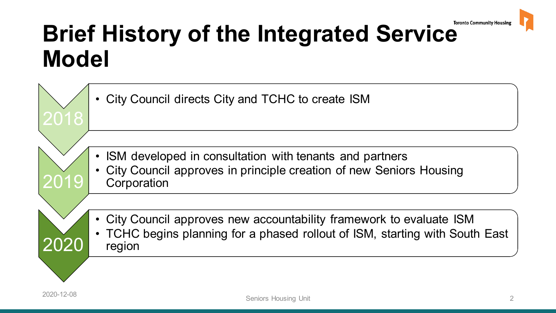

### **Brief History of the Integrated Service Model**

2018 City Council directs City and TCHC to create ISM 2019 ISM developed in consultation with tenants and partners • City Council approves in principle creation of new Seniors Housing **Corporation** 2020 • City Council approves new accountability framework to evaluate ISM • TCHC begins planning for a phased rollout of ISM, starting with South East region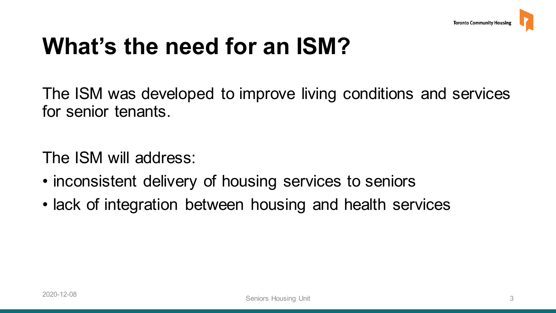### **What's the need for an ISM?**

 The ISM was developed to improve living conditions and services for senior tenants.

The ISM will address:

- inconsistent delivery of housing services to seniors
- lack of integration between housing and health services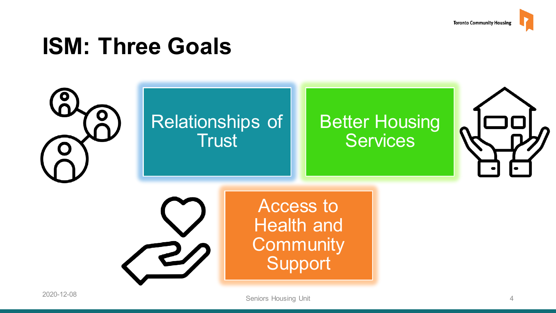

### **ISM: Three Goals**

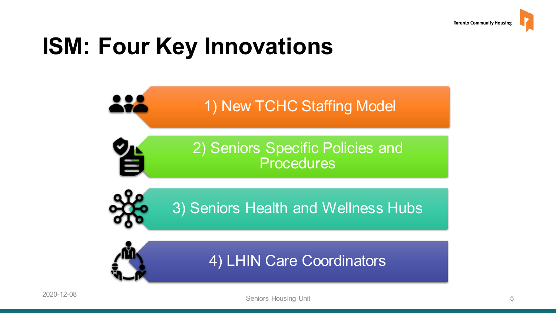### **ISM: Four Key Innovations**





4) LHIN Care Coordinators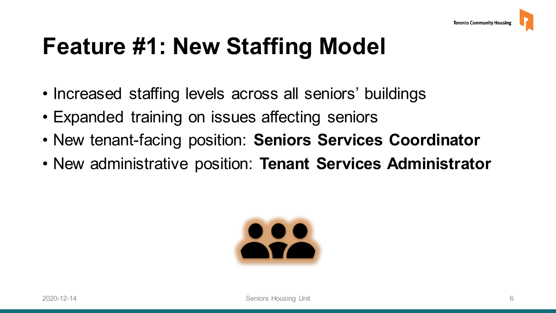### **Feature #1: New Staffing Model**

- Increased staffing levels across all seniors' buildings
- Expanded training on issues affecting seniors
- New tenant-facing position: **Seniors Services Coordinator**
- New administrative position: **Tenant Services Administrator**

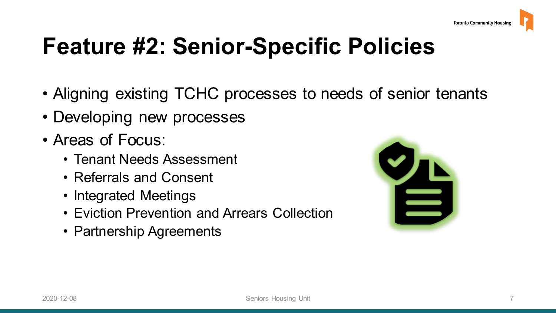### **Feature #2: Senior-Specific Policies**

- Aligning existing TCHC processes to needs of senior tenants
- Developing new processes
- • Areas of Focus:
	- Tenant Needs Assessment
	- Referrals and Consent
	- Integrated Meetings
	- Eviction Prevention and Arrears Collection
	- Partnership Agreements

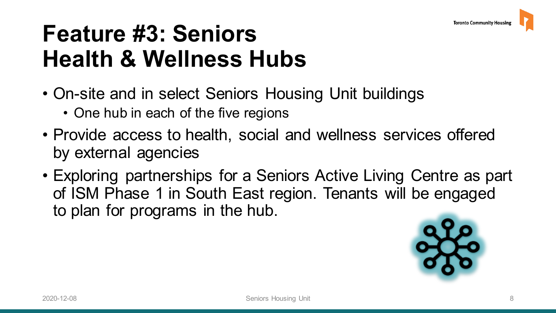### **Feature #3: Seniors Health & Wellness Hubs**

- • On-site and in select Seniors Housing Unit buildings
	- One hub in each of the five regions
- • Provide access to health, social and wellness services offered by external agencies
- • Exploring partnerships for a Seniors Active Living Centre as part of ISM Phase 1 in South East region. Tenants will be engaged to plan for programs in the hub.

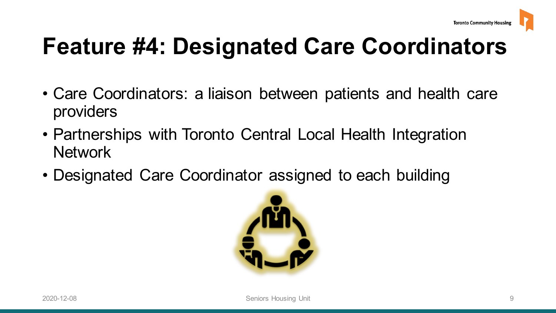# **Feature #4: Designated Care Coordinators**

- • Care Coordinators: a liaison between patients and health care providers
- Partnerships with Toronto Central Local Health Integration **Network**
- Designated Care Coordinator assigned to each building

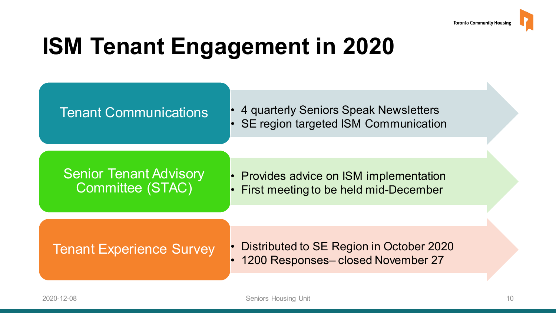## **ISM Tenant Engagement in 2020**



• 4 quarterly Seniors Speak Newsletters SE region targeted ISM Communication

### Senior Tenant Advisory Committee (STAC)

• Provides advice on ISM implementation • First meeting to be held mid-December

• Distributed to SE Region in October 2020 • 1200 Responses– closed November 27 Tenant Experience Survey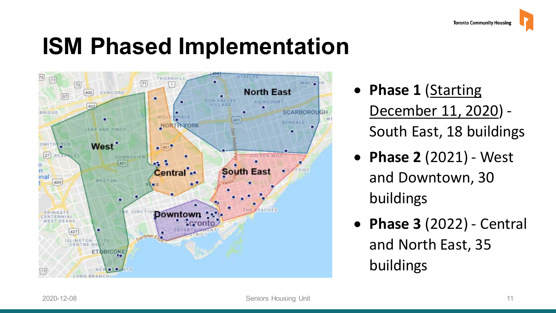### **ISM Phased Implementation**



- **Phase 1** (Starting December 11, 2020) - South East, 18 buildings
- **Phase 2** (2021) West and Downtown, 30 buildings
- **Phase 3** (2022) Central and North East, 35 buildings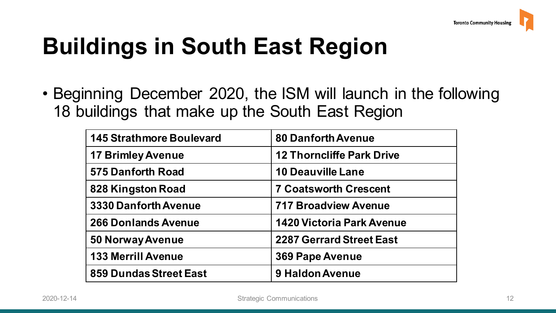# **Buildings in South East Region**

 • Beginning December 2020, the ISM will launch in the following 18 buildings that make up the South East Region

| <b>145 Strathmore Boulevard</b> | <b>80 Danforth Avenue</b>        |
|---------------------------------|----------------------------------|
| <b>17 Brimley Avenue</b>        | <b>12 Thorncliffe Park Drive</b> |
| <b>575 Danforth Road</b>        | <b>10 Deauville Lane</b>         |
| 828 Kingston Road               | <b>7 Coatsworth Crescent</b>     |
| 3330 Danforth Avenue            | <b>717 Broadview Avenue</b>      |
| <b>266 Donlands Avenue</b>      | <b>1420 Victoria Park Avenue</b> |
| <b>50 Norway Avenue</b>         | <b>2287 Gerrard Street East</b>  |
| <b>133 Merrill Avenue</b>       | <b>369 Pape Avenue</b>           |
| 859 Dundas Street East          | 9 Haldon Avenue                  |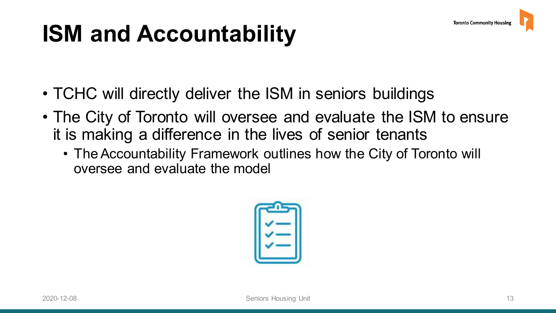### **ISM and Accountability**

- TCHC will directly deliver the ISM in seniors buildings
- • The City of Toronto will oversee and evaluate the ISM to ensure it is making a difference in the lives of senior tenants
	- • The Accountability Framework outlines how the City of Toronto will oversee and evaluate the model

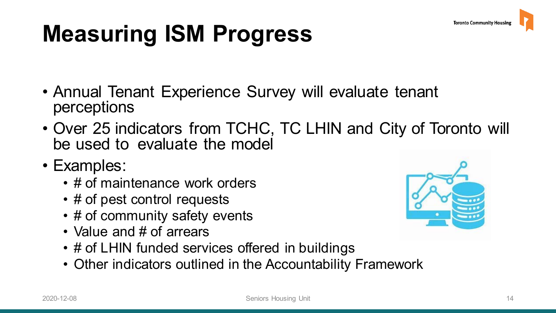## **Measuring ISM Progress**

- • Annual Tenant Experience Survey will evaluate tenant perceptions
- • Over 25 indicators from TCHC, TC LHIN and City of Toronto will be used to evaluate the model
- Examples:
	- # of maintenance work orders
	- # of pest control requests
	- # of community safety events
	- Value and # of arrears
	- # of LHIN funded services offered in buildings
	- Other indicators outlined in the Accountability Framework

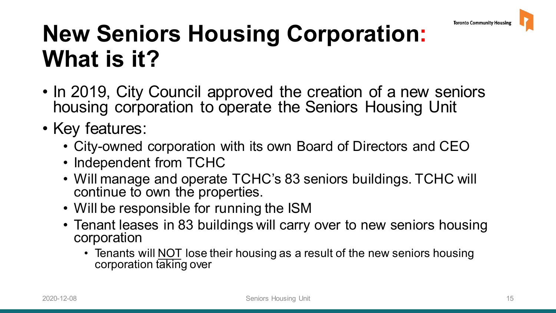### **New Seniors Housing Corporation: What is it?**

- • In 2019, City Council approved the creation of a new seniors housing corporation to operate the Seniors Housing Unit
- Key features:
	- City-owned corporation with its own Board of Directors and CEO
	- Independent from TCHC
	- • Will manage and operate TCHC's 83 seniors buildings. TCHC will continue to own the properties.
	- Will be responsible for running the ISM
	- • Tenant leases in 83 buildings will carry over to new seniors housing corporation
		- Tenants will **NOT** lose their housing as a result of the new seniors housing corporation taking over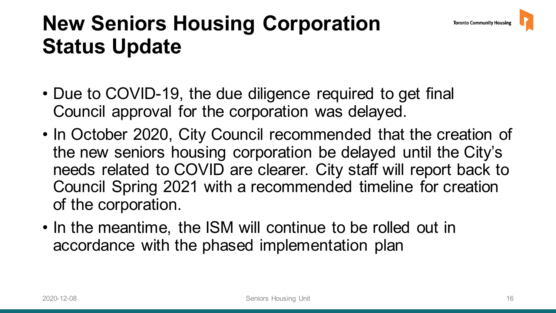### **New Seniors Housing Corporation Status Update**

- • Due to COVID-19, the due diligence required to get final Council approval for the corporation was delayed.
- • In October 2020, City Council recommended that the creation of the new seniors housing corporation be delayed until the City's needs related to COVID are clearer. City staff will report back to Council Spring 2021 with a recommended timeline for creation of the corporation.
- • In the meantime, the ISM will continue to be rolled out in accordance with the phased implementation plan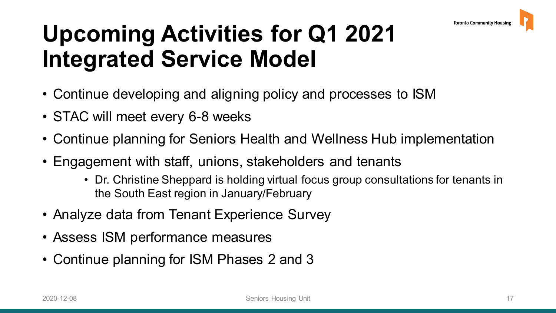### **Upcoming Activities for Q1 2021 Integrated Service Model**

- Continue developing and aligning policy and processes to ISM
- STAC will meet every 6-8 weeks
- Continue planning for Seniors Health and Wellness Hub implementation
- • Engagement with staff, unions, stakeholders and tenants
	- • Dr. Christine Sheppard is holding virtual focus group consultations for tenants in the South East region in January/February
- Analyze data from Tenant Experience Survey
- Assess ISM performance measures
- Continue planning for ISM Phases 2 and 3